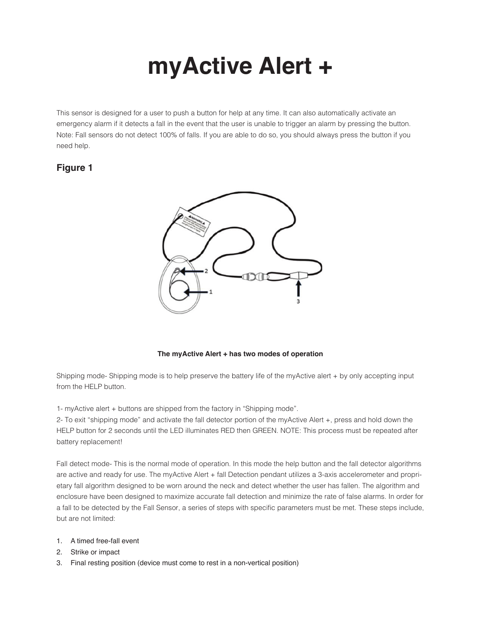# **myActive Alert +**

This sensor is designed for a user to push a button for help at any time. It can also automatically activate an emergency alarm if it detects a fall in the event that the user is unable to trigger an alarm by pressing the button. Note: Fall sensors do not detect 100% of falls. If you are able to do so, you should always press the button if you need help.

# **Figure 1**



# **The myActive Alert + has two modes of operation**

Shipping mode- Shipping mode is to help preserve the battery life of the myActive alert + by only accepting input from the HELP button.

1- myActive alert + buttons are shipped from the factory in "Shipping mode".

2- To exit "shipping mode" and activate the fall detector portion of the myActive Alert +, press and hold down the HELP button for 2 seconds until the LED illuminates RED then GREEN. NOTE: This process must be repeated after battery replacement!

Fall detect mode- This is the normal mode of operation. In this mode the help button and the fall detector algorithms are active and ready for use. The myActive Alert + fall Detection pendant utilizes a 3-axis accelerometer and proprietary fall algorithm designed to be worn around the neck and detect whether the user has fallen. The algorithm and enclosure have been designed to maximize accurate fall detection and minimize the rate of false alarms. In order for a fall to be detected by the Fall Sensor, a series of steps with specific parameters must be met. These steps include, but are not limited:

# 1. A timed free-fall event

- 2. Strike or impact
- 3. Final resting position (device must come to rest in a non-vertical position)